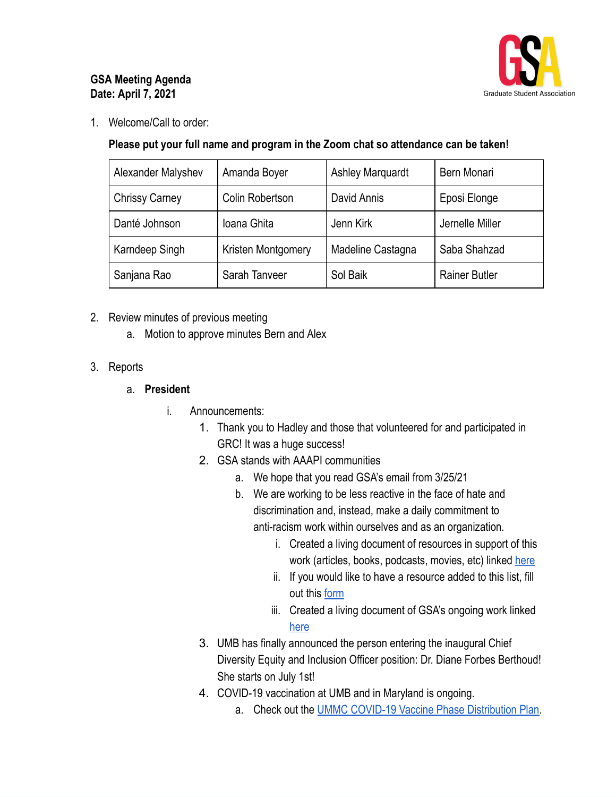

## **GSA Meeting Agenda Date: April 7, 2021**

1. Welcome/Call to order:

## **Please put your full name and program in the Zoom chat so attendance can be taken!**

| Alexander Malyshev    | Amanda Boyer       | <b>Ashley Marquardt</b> | Bern Monari          |
|-----------------------|--------------------|-------------------------|----------------------|
| <b>Chrissy Carney</b> | Colin Robertson    | David Annis             | Eposi Elonge         |
| Danté Johnson         | Ioana Ghita        | Jenn Kirk               | Jernelle Miller      |
| Karndeep Singh        | Kristen Montgomery | Madeline Castagna       | Saba Shahzad         |
| Sanjana Rao           | Sarah Tanveer      | Sol Baik                | <b>Rainer Butler</b> |

- 2. Review minutes of previous meeting
	- a. Motion to approve minutes Bern and Alex
- 3. Reports

## a. **President**

- i. Announcements:
	- 1. Thank you to Hadley and those that volunteered for and participated in GRC! It was a huge success!
	- 2. GSA stands with AAAPI communities
		- a. We hope that you read GSA's email from 3/25/21
		- b. We are working to be less reactive in the face of hate and discrimination and, instead, make a daily commitment to anti-racism work within ourselves and as an organization.
			- i. Created a living document of resources in support of this work (articles, books, podcasts, movies, etc) linked here
			- ii. If you would like to have a resource added to this list, fill out this [form](https://umbforms.wufoo.com/forms/m1mtxhaj1h49xuo/)
			- iii. Created a living document of GSA's ongoing work linked [here](https://docs.google.com/document/d/1RxFY83fQhHzFLnJsIy8iBzJn3KupTJiDP7rYNOY5Ug4/edit?usp=sharing)
	- 3. UMB has finally announced the person entering the inaugural Chief Diversity Equity and Inclusion Officer position: Dr. Diane Forbes Berthoud! She starts on July 1st!
	- 4. COVID-19 vaccination at UMB and in Maryland is ongoing.
		- a. Check out the [UMMC COVID-19 Vaccine Phase Distribution Plan](https://nam11.safelinks.protection.outlook.com/?url=http%3A%2F%2Fs.bl-1.com%2Fh%2FdbZdvsYV%3Furl%3Dhttps%3A%2F%2Fwww.umms.org%2Fummc%2F-%2Fmedia%2Ffiles%2Fprivate%2Fumms%2Fcovid-vaccine%2Fcovid-19-vaccines-phased-distribution.pdf&data=04%7C01%7Cemily_smith%40pobox.umaryland.edu%7Cc0a3b0bbe7d042ea64a508d8b0d61e84%7C3dcdbc4a7e4c407b80f77fb6757182f2%7C0%7C0%7C637453780998335273%7CUnknown%7CTWFpbGZsb3d8eyJWIjoiMC4wLjAwMDAiLCJQIjoiV2luMzIiLCJBTiI6Ik1haWwiLCJXVCI6Mn0%3D%7C1000&sdata=%2FWwM%2F0bXPVeoiKVqn7g4egErYR%2BwjUkI0sJJnvstqxM%3D&reserved=0) .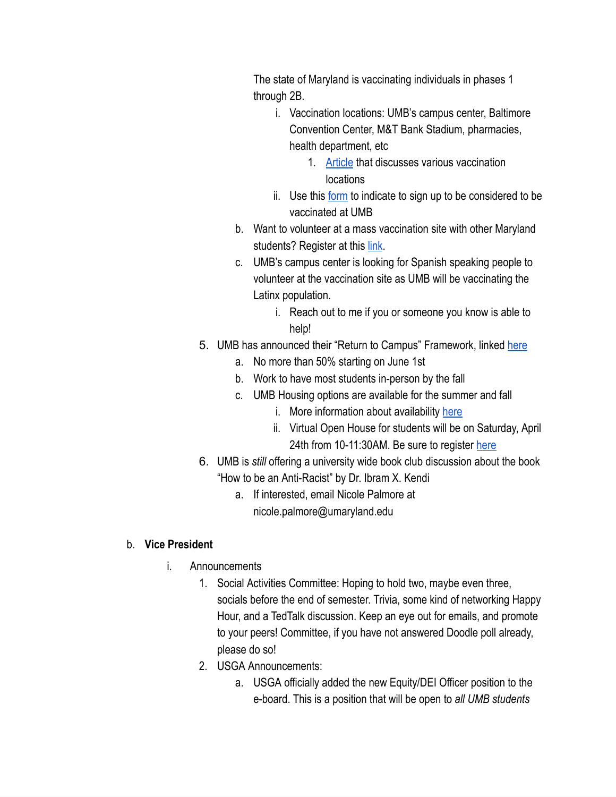The state of Maryland is vaccinating individuals in phases 1 through 2B.

- i. Vaccination locations: UMB's campus center, Baltimore Convention Center, M&T Bank Stadium, pharmacies, health department, etc
	- 1. [Article](https://elm.umaryland.edu/elm-stories/Elm-Stories-Content/UMB-Community-Encouraged-to-Register-for-Vaccine-Where-Available.php) that discusses various vaccination locations
- ii. Use this [form](https://elm.umaryland.edu/elm-stories/Elm-Stories-Content/Please-Let-UMB-Know-via-New-Form-if-You-Would-Like-to-be-Considered-for-Vaccine.php?utm_source=The%20Elm%20Weekly%2C%20Week%20of%20March%2029%2C%202021) to indicate to sign up to be considered to be vaccinated at UMB
- b. Want to volunteer at a mass vaccination site with other Maryland students? Register at this [link](https://www.givepulse.com/group/482016-State-of-Maryland-COVID-19-Vaccination-Site-Student-Volunteer-Program).
- c. UMB's campus center is looking for Spanish speaking people to volunteer at the vaccination site as UMB will be vaccinating the Latinx population.
	- i. Reach out to me if you or someone you know is able to help!
- 5. UMB has announced their "Return to Campus" Framework, linked [here](https://www.umaryland.edu/media/umb/novel-coronavirus-2019-ncov/2021-Return-to-Campus-Plan-3.31.21.pdf)
	- a. No more than 50% starting on June 1st
	- b. Work to have most students in-person by the fall
	- c. UMB Housing options are available for the summer and fall
		- i. More information about availability [here](https://www.umaryland.edu/housing/)
		- ii. Virtual Open House for students will be on Saturday, April 24th from 10-11:30AM. Be sure to register [here](http://survey.constantcontact.com/survey/a07ehrdmjkhkmp8wdkt/a001kmpac3rx/questions)
- 6. UMB is *still* offering a university wide book club discussion about the book
	- "How to be an Anti-Racist" by Dr. Ibram X. Kendi
		- a. If interested, email Nicole Palmore at nicole.palmore@umaryland.edu

# b. **Vice President**

- i. Announcements
	- 1. Social Activities Committee: Hoping to hold two, maybe even three, socials before the end of semester. Trivia, some kind of networking Happy Hour, and a TedTalk discussion. Keep an eye out for emails, and promote to your peers! Committee, if you have not answered Doodle poll already, please do so!
	- 2. USGA Announcements:
		- a. USGA officially added the new Equity/DEI Officer position to the e-board. This is a position that will be open to *all UMB students*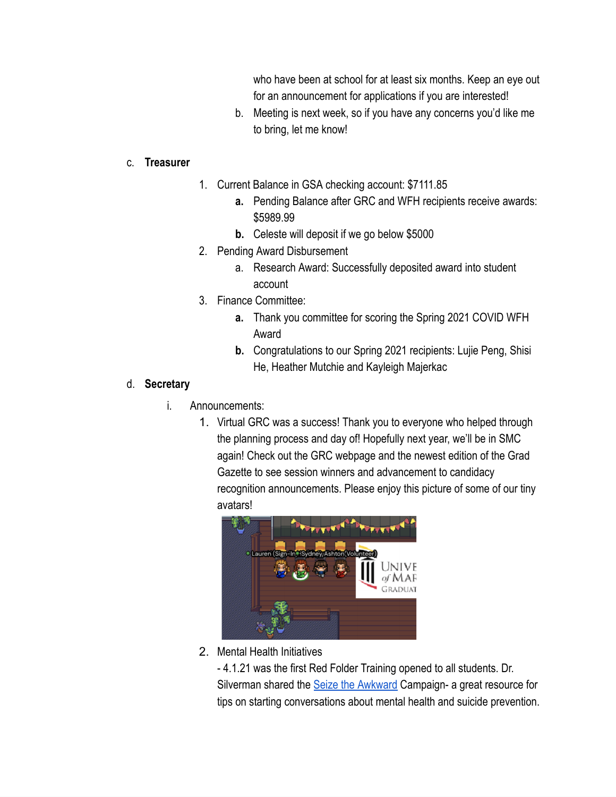who have been at school for at least six months. Keep an eye out for an announcement for applications if you are interested!

b. Meeting is next week, so if you have any concerns you'd like me to bring, let me know!

#### c. **Treasurer**

- 1. Current Balance in GSA checking account: \$7111.85
	- **a.** Pending Balance after GRC and WFH recipients receive awards: \$5989.99
	- **b.** Celeste will deposit if we go below \$5000
- 2. Pending Award Disbursement
	- a. Research Award: Successfully deposited award into student account
- 3. Finance Committee:
	- **a.** Thank you committee for scoring the Spring 2021 COVID WFH Award
	- **b.** Congratulations to our Spring 2021 recipients: Lujie Peng, Shisi He, Heather Mutchie and Kayleigh Majerkac

#### d. **Secretary**

- i. Announcements:
	- 1. Virtual GRC was a success! Thank you to everyone who helped through the planning process and day of! Hopefully next year, we'll be in SMC again! Check out the GRC webpage and the newest edition of the Grad Gazette to see session winners and advancement to candidacy recognition announcements. Please enjoy this picture of some of our tiny avatars!



2. Mental Health Initiatives

- 4.1.21 was the first Red Folder Training opened to all students. Dr. Silverman shared the [Seize the Awkward](https://seizetheawkward.org/) Campaign- a great resource for tips on starting conversations about mental health and suicide prevention.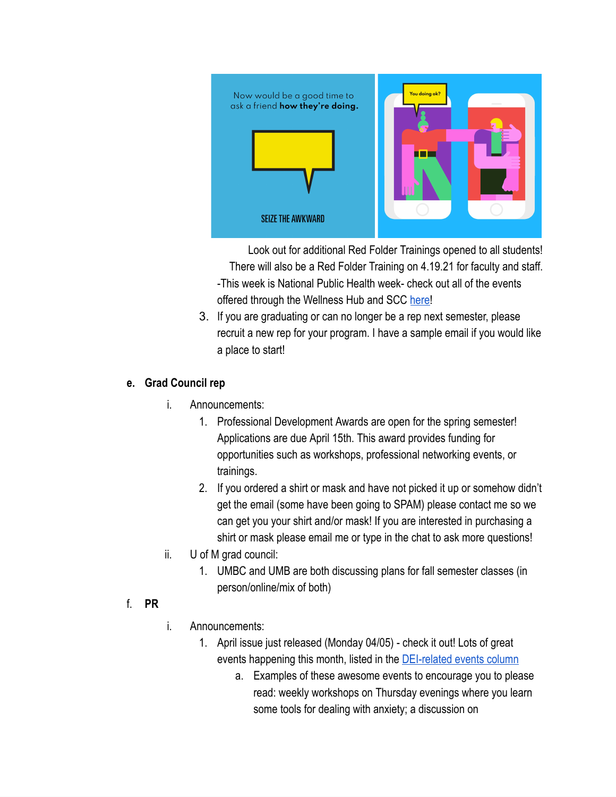

Look out for additional Red Folder Trainings opened to all students! There will also be a Red Folder Training on 4.19.21 for faculty and staff.

- -This week is National Public Health week- check out all of the events offered through the Wellness Hub and SCC here!
- 3. If you are graduating or can no longer be a rep next semester, please recruit a new rep for your program. I have a sample email if you would like a place to start!

### **e. Grad Council rep**

- i. Announcements:
	- 1. Professional Development Awards are open for the spring semester! Applications are due April 15th. This award provides funding for opportunities such as workshops, professional networking events, or trainings.
	- 2. If you ordered a shirt or mask and have not picked it up or somehow didn't get the email (some have been going to SPAM) please contact me so we can get you your shirt and/or mask! If you are interested in purchasing a shirt or mask please email me or type in the chat to ask more questions!
- ii. U of M grad council:
	- 1. UMBC and UMB are both discussing plans for fall semester classes (in person/online/mix of both)

### f. **PR**

- i. Announcements:
	- 1. April issue just released (Monday 04/05) check it out! Lots of great events happening this month, listed in the [DEI-related events column](https://www.graduate.umaryland.edu/gsa/gazette/April-2021/Upcoming-Events-on-Diversity-Equity--Inclusion/) 
		- a. Examples of these awesome events to encourage you to please read: weekly workshops on Thursday evenings where you learn some tools for dealing with anxiety; a discussion on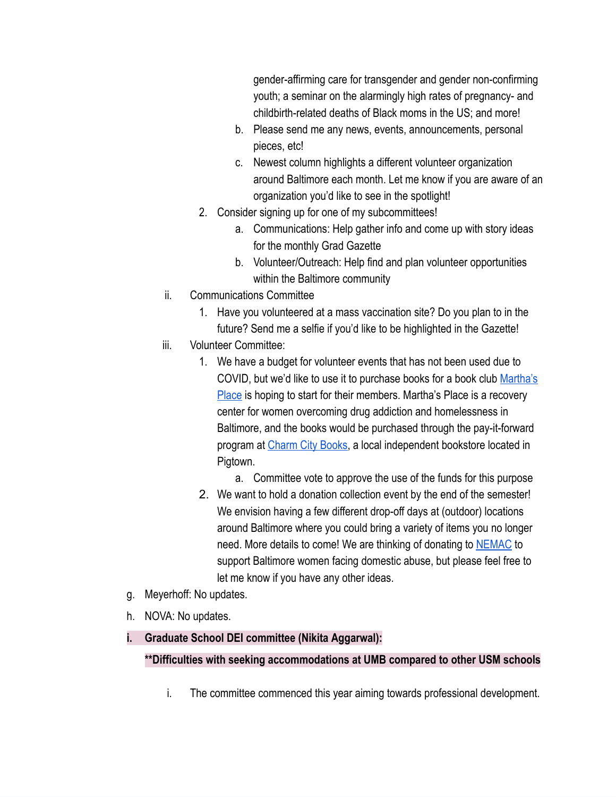gender-affirming care for transgender and gender non-confirming youth; a seminar on the alarmingly high rates of pregnancy- and childbirth-related deaths of Black moms in the US; and more!

- b. Please send me any news, events, announcements, personal pieces, etc!
- c. Newest column highlights a different volunteer organization around Baltimore each month. Let me know if you are aware of an organization you'd like to see in the spotlight!
- 2. Consider signing up for one of my subcommittees!
	- a. Communications: Help gather info and come up with story ideas for the monthly Grad Gazette
	- b. Volunteer/Outreach: Help find and plan volunteer opportunities within the Baltimore community
- ii. Communications Committee
	- 1. Have you volunteered at a mass vaccination site? Do you plan to in the future? Send me a selfie if you'd like to be highlighted in the Gazette!
- iii. Volunteer Committee:
	- 1. We have a budget for volunteer events that has not been used due to COVID, but we'd like to use it to purchase books for a book club [Martha's](https://marthasplace.org/)  [Place](https://marthasplace.org/) is hoping to start for their members. Martha's Place is a recovery center for women overcoming drug addiction and homelessness in Baltimore, and the books would be purchased through the pay-it-forward program at Charm City Books, a local independent bookstore located in Pigtown.
		- a. Committee vote to approve the use of the funds for this purpose
	- 2. We want to hold a donation collection event by the end of the semester! We envision having a few different drop-off days at (outdoor) locations around Baltimore where you could bring a variety of items you no longer need. More details to come! We are thinking of donating to **NEMAC** to support Baltimore women facing domestic abuse, but please feel free to let me know if you have any other ideas.
- g. Meyerhoff: No updates.
- h. NOVA: No updates.
- **i. Graduate School DEI committee (Nikita Aggarwal):**

### **\*\*Difficulties with seeking accommodations at UMB compared to other USM schools**

i. The committee commenced this year aiming towards professional development.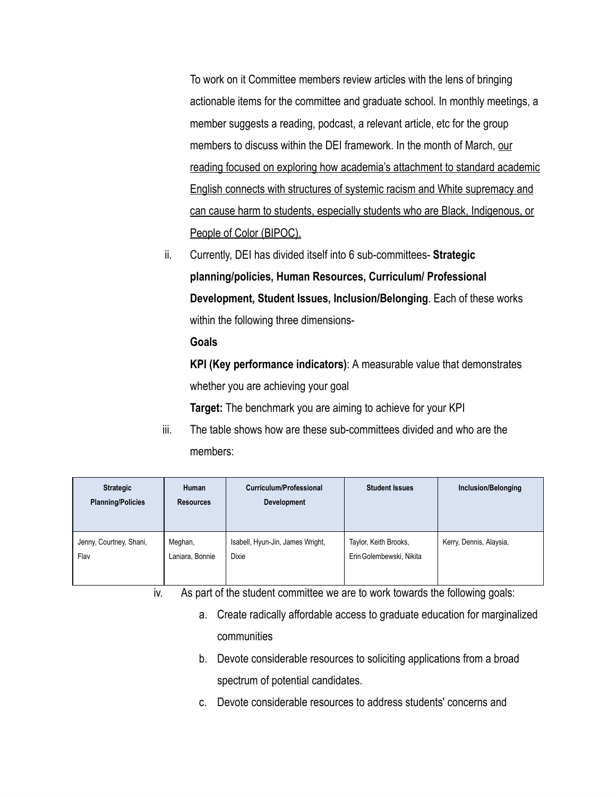To work on it Committee members review articles with the lens of bringing actionable items for the committee and graduate school. In monthly meetings, a member suggests a reading, podcast, a relevant article, etc for the group members to discuss within the DEI framework. In the month of March, our reading focused on exploring how academia's attachment to standard academic English connects with structures of systemic racism and White supremacy and can cause harm to students, especially students who are Black, Indigenous, or People of Color (BIPOC).

ii. Currently, DEI has divided itself into 6 sub-committees- **Strategic planning/policies, Human Resources, Curriculum/ Professional Development, Student Issues, Inclusion/Belonging** . Each of these works within the following three dimensions-

#### **Goals**

**KPI (Key performance indicators)** : A measurable value that demonstrates whether you are achieving your goal

**Target:** The benchmark you are aiming to achieve for your KPI

iii. The table shows how are these sub-committees divided and who are the members:

| <b>Strategic</b><br><b>Planning/Policies</b> | Human<br><b>Resources</b> | Curriculum/Professional<br><b>Development</b> | <b>Student Issues</b>    | Inclusion/Belonging     |
|----------------------------------------------|---------------------------|-----------------------------------------------|--------------------------|-------------------------|
| Jenny, Courtney, Shani,                      | Meghan,                   | Isabell, Hyun-Jin, James Wright,              | Taylor, Keith Brooks,    | Kerry, Dennis, Alaysia, |
| Flav                                         | Laniara, Bonnie           | <b>Dixie</b>                                  | Erin Golembewski, Nikita |                         |

iv. As part of the student committee we are to work towards the following goals:

- a. Create radically affordable access to graduate education for marginalized communities
- b. Devote considerable resources to soliciting applications from a broad spectrum of potential candidates.
- c. Devote considerable resources to address students' concerns and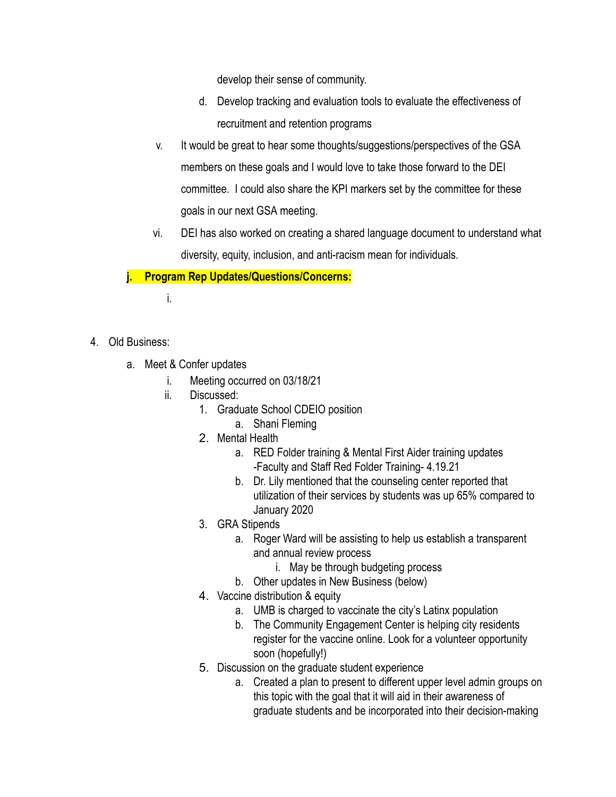develop their sense of community.

- d. Develop tracking and evaluation tools to evaluate the effectiveness of recruitment and retention programs
- v. It would be great to hear some thoughts/suggestions/perspectives of the GSA members on these goals and I would love to take those forward to the DEI committee. I could also share the KPI markers set by the committee for these goals in our next GSA meeting.
- vi. DEI has also worked on creating a shared language document to understand what diversity, equity, inclusion, and anti-racism mean for individuals.

# **j. Program Rep Updates/Questions/Concerns:**

i.

- 4. Old Business:
	- a. Meet & Confer updates
		- i. Meeting occurred on 03/18/21
		- ii. Discussed:
			- 1. Graduate School CDEIO position
				- a. Shani Fleming
			- 2. Mental Health
				- a. RED Folder training & Mental First Aider training updates -Faculty and Staff Red Folder Training- 4.19.21
				- b. Dr. Lily mentioned that the counseling center reported that utilization of their services by students was up 65% compared to January 2020
			- 3. GRA Stipends
				- a. Roger Ward will be assisting to help us establish a transparent and annual review process
					- i. May be through budgeting process
				- b. Other updates in New Business (below)
			- 4. Vaccine distribution & equity
				- a. UMB is charged to vaccinate the city's Latinx population
				- b. The Community Engagement Center is helping city residents register for the vaccine online. Look for a volunteer opportunity soon (hopefully!)
			- 5. Discussion on the graduate student experience
				- a. Created a plan to present to different upper level admin groups on this topic with the goal that it will aid in their awareness of graduate students and be incorporated into their decision-making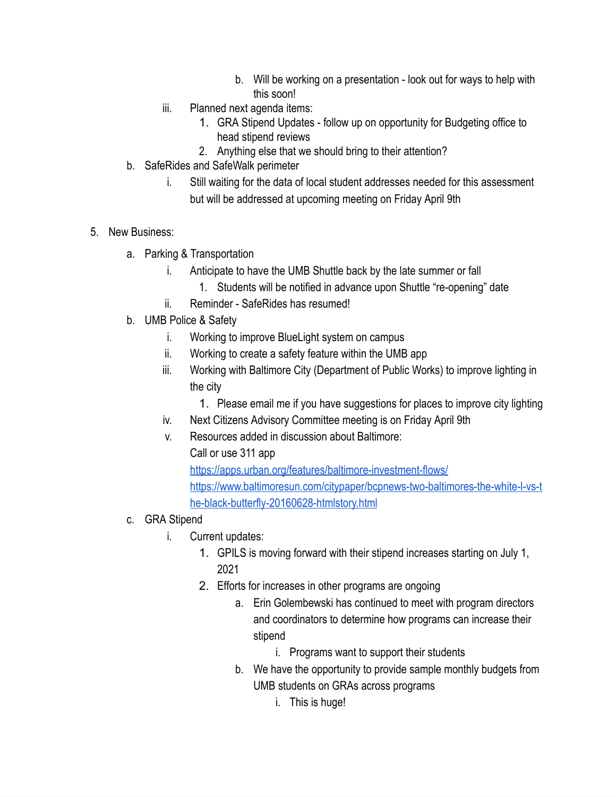- b. Will be working on a presentation look out for ways to help with this soon!
- iii. Planned next agenda items:
	- 1. GRA Stipend Updates follow up on opportunity for Budgeting office to head stipend reviews
	- 2. Anything else that we should bring to their attention?
- b. SafeRides and SafeWalk perimeter
	- i. Still waiting for the data of local student addresses needed for this assessment but will be addressed at upcoming meeting on Friday April 9th
- 5. New Business:
	- a. Parking & Transportation
		- i. Anticipate to have the UMB Shuttle back by the late summer or fall
			- 1. Students will be notified in advance upon Shuttle "re-opening" date
		- ii. Reminder SafeRides has resumed!
	- b. UMB Police & Safety
		- i. Working to improve BlueLight system on campus
		- ii. Working to create a safety feature within the UMB app
		- iii. Working with Baltimore City (Department of Public Works) to improve lighting in the city
			- 1. Please email me if you have suggestions for places to improve city lighting
		- iv. Next Citizens Advisory Committee meeting is on Friday April 9th
		- v. Resources added in discussion about Baltimore:
			- Call or use 311 app

<https://apps.urban.org/features/baltimore-investment-flows/> [https://www.baltimoresun.com/citypaper/bcpnews-two-baltimores-the-white-l-vs-t](https://www.baltimoresun.com/citypaper/bcpnews-two-baltimores-the-white-l-vs-the-black-butterfly-20160628-htmlstory.html)  [he-black-butterfly-20160628-htmlstory.html](https://www.baltimoresun.com/citypaper/bcpnews-two-baltimores-the-white-l-vs-the-black-butterfly-20160628-htmlstory.html)

- c. GRA Stipend
	- i. Current updates:
		- 1. GPILS is moving forward with their stipend increases starting on July 1, 2021
		- 2. Efforts for increases in other programs are ongoing
			- a. Erin Golembewski has continued to meet with program directors and coordinators to determine how programs can increase their stipend
				- i. Programs want to support their students
			- b. We have the opportunity to provide sample monthly budgets from UMB students on GRAs across programs
				- i. This is huge!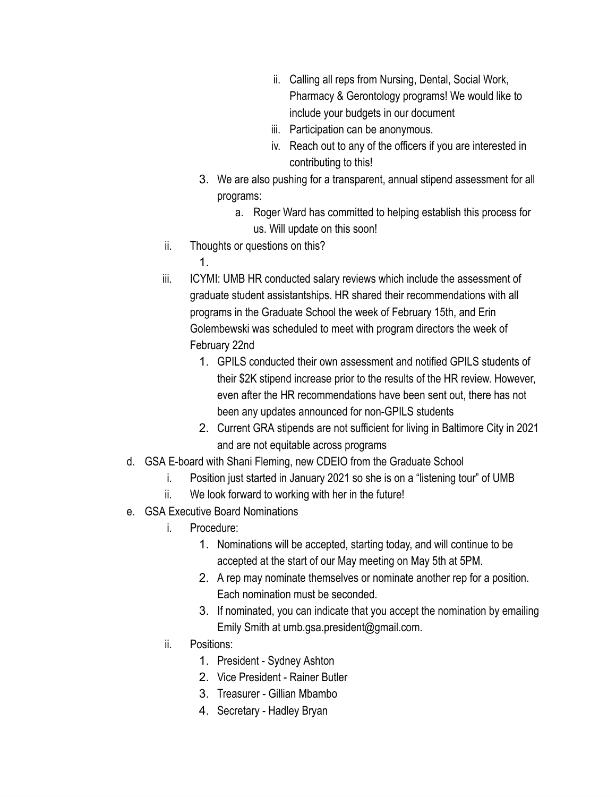- ii. Calling all reps from Nursing, Dental, Social Work, Pharmacy & Gerontology programs! We would like to include your budgets in our document
- iii. Participation can be anonymous.
- iv. Reach out to any of the officers if you are interested in contributing to this!
- 3. We are also pushing for a transparent, annual stipend assessment for all programs:
	- a. Roger Ward has committed to helping establish this process for us. Will update on this soon!
- ii. Thoughts or questions on this?
	- 1.
- iii. ICYMI: UMB HR conducted salary reviews which include the assessment of graduate student assistantships. HR shared their recommendations with all programs in the Graduate School the week of February 15th, and Erin Golembewski was scheduled to meet with program directors the week of February 22nd
	- 1. GPILS conducted their own assessment and notified GPILS students of their \$2K stipend increase prior to the results of the HR review. However, even after the HR recommendations have been sent out, there has not been any updates announced for non-GPILS students
	- 2. Current GRA stipends are not sufficient for living in Baltimore City in 2021 and are not equitable across programs
- d. GSA E-board with Shani Fleming, new CDEIO from the Graduate School
	- i. Position just started in January 2021 so she is on a "listening tour" of UMB
	- ii. We look forward to working with her in the future!
- e. GSA Executive Board Nominations
	- i. Procedure:
		- 1. Nominations will be accepted, starting today, and will continue to be accepted at the start of our May meeting on May 5th at 5PM.
		- 2. A rep may nominate themselves or nominate another rep for a position. Each nomination must be seconded.
		- 3. If nominated, you can indicate that you accept the nomination by emailing Emily Smith at umb.gsa.president@gmail.com.
	- ii. Positions:
		- 1. President Sydney Ashton
		- 2. Vice President Rainer Butler
		- 3. Treasurer Gillian Mbambo
		- 4. Secretary Hadley Bryan